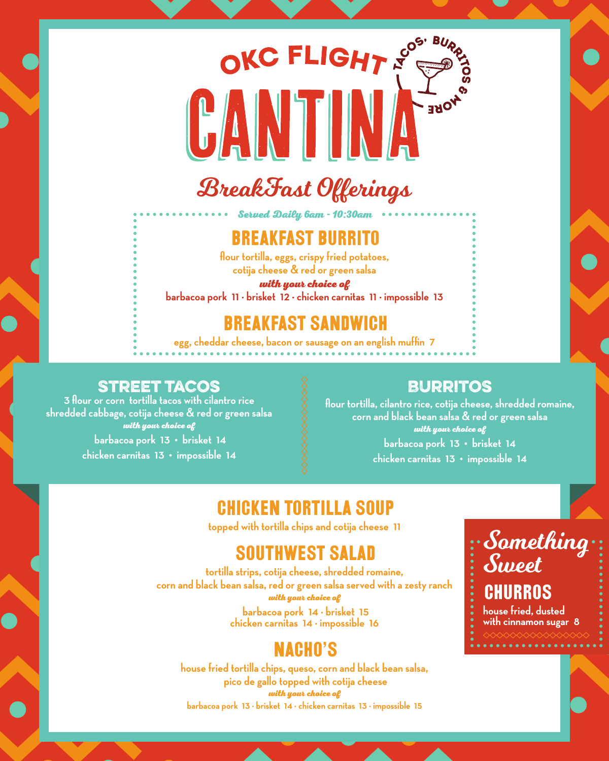# **ARE**  $\begin{bmatrix} \bullet & \bullet \\ \bullet & \bullet \end{bmatrix}$ BreakFast Offerings

OKC FLIGHT NOS BUR

#### Breakfast Burrito

Served Daily 6am - 10:30am

**flour tortilla, eggs, crispy fried potatoes, cotija cheese & red or green salsa** 

with your choice of

**barbacoa pork 11 · brisket 12 · chicken carnitas 11 · impossible 13**

#### Breakfast Sandwich

**egg, cheddar cheese, bacon or sausage on an english muffin 7**

#### Street Tacos

**3 flour or corn tortilla tacos with cilantro rice shredded cabbage, cotija cheese & red or green salsa** with your choice of  **barbacoa pork 13 • brisket 14 chicken carnitas 13 • impossible 14**

#### Burritos

**flour tortilla, cilantro rice, cotija cheese, shredded romaine, corn and black bean salsa & red or green salsa** with your choice of **barbacoa pork 13 • brisket 14 chicken carnitas 13 • impossible 14**

#### Chicken Tortilla Soup

**topped with tortilla chips and cotija cheese 11**

#### Southwest Salad

**tortilla strips, cotija cheese, shredded romaine, corn and black bean salsa, red or green salsa served with a zesty ranch** with your choice of

 **barbacoa pork 14 · brisket 15 chicken carnitas 14 · impossible 16**

#### NACHO'S

**house fried tortilla chips, queso, corn and black bean salsa, pico de gallo topped with cotija cheese**  with your choice of **barbacoa pork 13 · brisket 14 · chicken carnitas 13 · impossible 15**

#### Something Sweet **CHURROS house fried, dusted with cinnamon sugar 8**